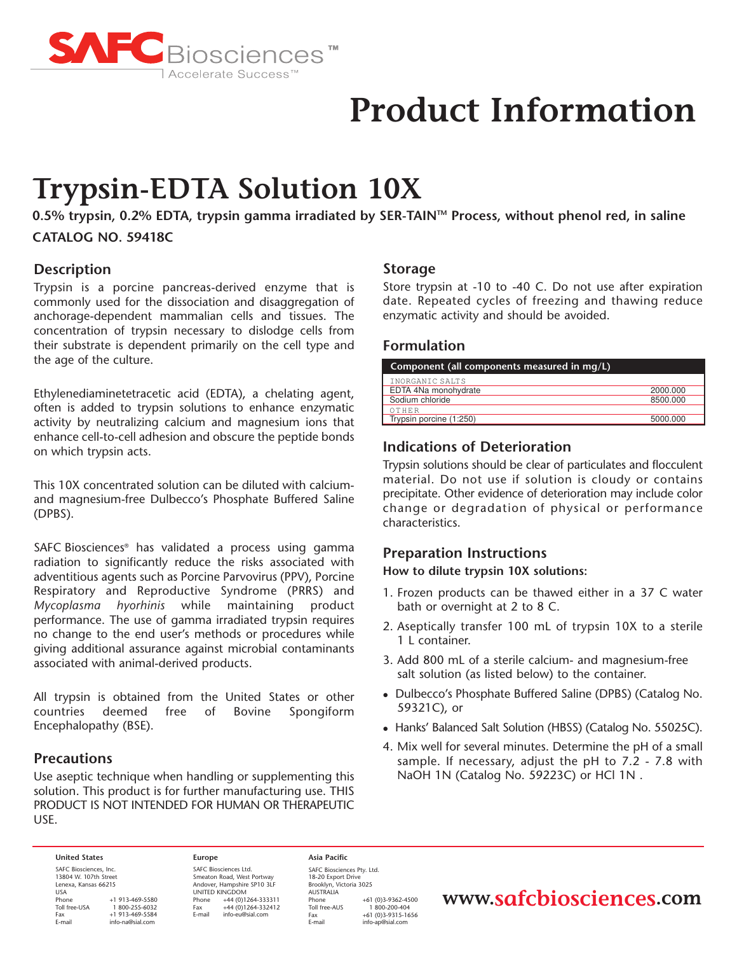

# **Product Information**

# **Trypsin-EDTA Solution 10X**

**0.5% trypsin, 0.2% EDTA, trypsin gamma irradiated by SER-TAINTM Process, without phenol red, in saline CATALOG NO. 59418C**

## **Description**

Trypsin is a porcine pancreas-derived enzyme that is commonly used for the dissociation and disaggregation of anchorage-dependent mammalian cells and tissues. The concentration of trypsin necessary to dislodge cells from their substrate is dependent primarily on the cell type and the age of the culture.

Ethylenediaminetetracetic acid (EDTA), a chelating agent, often is added to trypsin solutions to enhance enzymatic activity by neutralizing calcium and magnesium ions that enhance cell-to-cell adhesion and obscure the peptide bonds on which trypsin acts.

This 10X concentrated solution can be diluted with calciumand magnesium-free Dulbecco's Phosphate Buffered Saline (DPBS).

SAFC Biosciences® has validated a process using gamma radiation to significantly reduce the risks associated with adventitious agents such as Porcine Parvovirus (PPV), Porcine Respiratory and Reproductive Syndrome (PRRS) and *Mycoplasma hyorhinis* while maintaining product performance. The use of gamma irradiated trypsin requires no change to the end user's methods or procedures while giving additional assurance against microbial contaminants associated with animal-derived products.

All trypsin is obtained from the United States or other countries deemed free of Bovine Spongiform Encephalopathy (BSE).

### **Precautions**

Use aseptic technique when handling or supplementing this solution. This product is for further manufacturing use. THIS PRODUCT IS NOT INTENDED FOR HUMAN OR THERAPEUTIC USE.

#### **Storage**

Store trypsin at -10 to -40 C. Do not use after expiration date. Repeated cycles of freezing and thawing reduce enzymatic activity and should be avoided.

### **Formulation**

| Component (all components measured in $mq/L$ ) |          |
|------------------------------------------------|----------|
| INORGANIC SALTS                                |          |
| EDTA 4Na monohydrate                           | 2000.000 |
| Sodium chloride                                | 8500.000 |
| OTHER                                          |          |
| Trypsin porcine (1:250)                        | 5000.000 |

# **Indications of Deterioration**

Trypsin solutions should be clear of particulates and flocculent material. Do not use if solution is cloudy or contains precipitate. Other evidence of deterioration may include color change or degradation of physical or performance characteristics.

#### **Preparation Instructions**

**How to dilute trypsin 10X solutions:**

- 1. Frozen products can be thawed either in a 37 C water bath or overnight at 2 to 8 C.
- 2. Aseptically transfer 100 mL of trypsin 10X to a sterile 1 L container.
- 3. Add 800 mL of a sterile calcium- and magnesium-free salt solution (as listed below) to the container.
- Dulbecco's Phosphate Buffered Saline (DPBS) (Catalog No. 59321C), or
- Hanks' Balanced Salt Solution (HBSS) (Catalog No. 55025C).
- 4. Mix well for several minutes. Determine the pH of a small sample. If necessary, adjust the pH to 7.2 - 7.8 with NaOH 1N (Catalog No. 59223C) or HCl 1N .

#### **United States**

SAFC Biosciences, Inc. 13804 W. 107th Street Lenexa, Kansas 66215 USA<br>Phone Phone +1 913-469-5580<br>Toll free-USA 1 800-255-6032 Toll free-USA 1800-255-6032<br>Eax +1 913-469-5584  $+1$  913-469-5584 .u..<br>E-mail

**Europe** SAFC Biosciences Ltd. Smeaton Road, West Portway Andover, Hampshire SP10 3LF UNITED KINGDOM Phone +44 (0)1264-333311<br>Fax +44 (0)1264-332412  $\begin{array}{r}\n\text{Fax} \\
\text{Final} \\
\text{info-eu@sid com}\n\end{array}$ E-mail info-eu@sial.com

**Asia Pacific** SAFC Biosciences Pty. Ltd. 18-20 Export Drive Brooklyn, Victoria 3025 AUSTRALIA Phone +61 (0)3-9362-4500<br>Toll free-AUS 1 800-200-404 Toll free-AUS 1 800-200-404<br>Eax +61 (0)3-9315-16 Fax +61 (0)3-9315-1656 info-ap@sial.com

# **www.safcbiosciences.com**